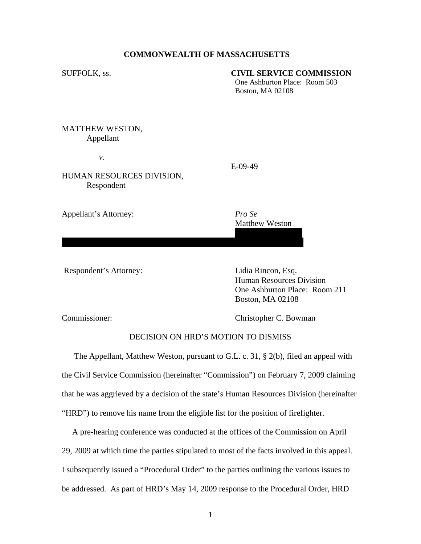# **COMMONWEALTH OF MASSACHUSETTS**

### SUFFOLK, ss. **CIVIL SERVICE COMMISSION**

 One Ashburton Place: Room 503 Boston, MA 02108

MATTHEW WESTON, Appellant

 *v.* 

E-09-49

 20 Marjorie Avenue Pocasset, MA 02539

# HUMAN RESOURCES DIVISION, Respondent

Appellant's Attorney: *Pro Se* 

**Matthew Weston** 

Respondent's Attorney: Lidia Rincon, Esq.

 Human Resources Division One Ashburton Place: Room 211 Boston, MA 02108

Commissioner: Christopher C. Bowman

# DECISION ON HRD'S MOTION TO DISMISS

The Appellant, Matthew Weston, pursuant to G.L. c. 31, § 2(b), filed an appeal with the Civil Service Commission (hereinafter "Commission") on February 7, 2009 claiming that he was aggrieved by a decision of the state's Human Resources Division (hereinafter "HRD") to remove his name from the eligible list for the position of firefighter.

 A pre-hearing conference was conducted at the offices of the Commission on April 29, 2009 at which time the parties stipulated to most of the facts involved in this appeal. I subsequently issued a "Procedural Order" to the parties outlining the various issues to be addressed. As part of HRD's May 14, 2009 response to the Procedural Order, HRD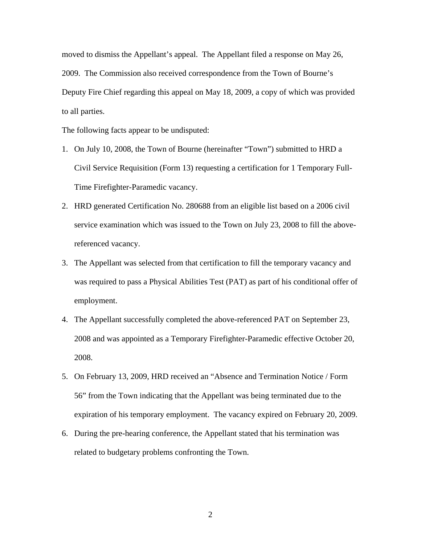moved to dismiss the Appellant's appeal. The Appellant filed a response on May 26, 2009. The Commission also received correspondence from the Town of Bourne's Deputy Fire Chief regarding this appeal on May 18, 2009, a copy of which was provided to all parties.

The following facts appear to be undisputed:

- 1. On July 10, 2008, the Town of Bourne (hereinafter "Town") submitted to HRD a Civil Service Requisition (Form 13) requesting a certification for 1 Temporary Full-Time Firefighter-Paramedic vacancy.
- 2. HRD generated Certification No. 280688 from an eligible list based on a 2006 civil service examination which was issued to the Town on July 23, 2008 to fill the abovereferenced vacancy.
- 3. The Appellant was selected from that certification to fill the temporary vacancy and was required to pass a Physical Abilities Test (PAT) as part of his conditional offer of employment.
- 4. The Appellant successfully completed the above-referenced PAT on September 23, 2008 and was appointed as a Temporary Firefighter-Paramedic effective October 20, 2008.
- 5. On February 13, 2009, HRD received an "Absence and Termination Notice / Form 56" from the Town indicating that the Appellant was being terminated due to the expiration of his temporary employment. The vacancy expired on February 20, 2009.
- 6. During the pre-hearing conference, the Appellant stated that his termination was related to budgetary problems confronting the Town.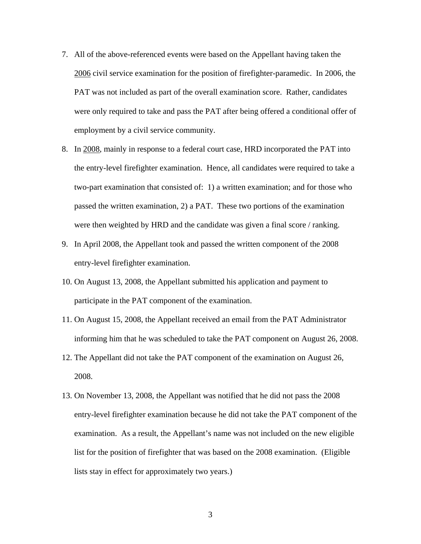- 7. All of the above-referenced events were based on the Appellant having taken the 2006 civil service examination for the position of firefighter-paramedic. In 2006, the PAT was not included as part of the overall examination score. Rather, candidates were only required to take and pass the PAT after being offered a conditional offer of employment by a civil service community.
- 8. In 2008, mainly in response to a federal court case, HRD incorporated the PAT into the entry-level firefighter examination. Hence, all candidates were required to take a two-part examination that consisted of: 1) a written examination; and for those who passed the written examination, 2) a PAT. These two portions of the examination were then weighted by HRD and the candidate was given a final score / ranking.
- 9. In April 2008, the Appellant took and passed the written component of the 2008 entry-level firefighter examination.
- 10. On August 13, 2008, the Appellant submitted his application and payment to participate in the PAT component of the examination.
- 11. On August 15, 2008, the Appellant received an email from the PAT Administrator informing him that he was scheduled to take the PAT component on August 26, 2008.
- 12. The Appellant did not take the PAT component of the examination on August 26, 2008.
- 13. On November 13, 2008, the Appellant was notified that he did not pass the 2008 entry-level firefighter examination because he did not take the PAT component of the examination. As a result, the Appellant's name was not included on the new eligible list for the position of firefighter that was based on the 2008 examination. (Eligible lists stay in effect for approximately two years.)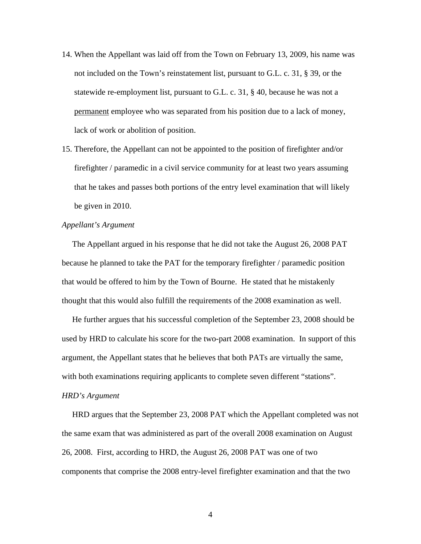- 14. When the Appellant was laid off from the Town on February 13, 2009, his name was not included on the Town's reinstatement list, pursuant to G.L. c. 31, § 39, or the statewide re-employment list, pursuant to G.L. c. 31, § 40, because he was not a permanent employee who was separated from his position due to a lack of money, lack of work or abolition of position.
- 15. Therefore, the Appellant can not be appointed to the position of firefighter and/or firefighter / paramedic in a civil service community for at least two years assuming that he takes and passes both portions of the entry level examination that will likely be given in 2010.

## *Appellant's Argument*

 The Appellant argued in his response that he did not take the August 26, 2008 PAT because he planned to take the PAT for the temporary firefighter / paramedic position that would be offered to him by the Town of Bourne. He stated that he mistakenly thought that this would also fulfill the requirements of the 2008 examination as well.

 He further argues that his successful completion of the September 23, 2008 should be used by HRD to calculate his score for the two-part 2008 examination. In support of this argument, the Appellant states that he believes that both PATs are virtually the same, with both examinations requiring applicants to complete seven different "stations".

#### *HRD's Argument*

HRD argues that the September 23, 2008 PAT which the Appellant completed was not the same exam that was administered as part of the overall 2008 examination on August 26, 2008. First, according to HRD, the August 26, 2008 PAT was one of two components that comprise the 2008 entry-level firefighter examination and that the two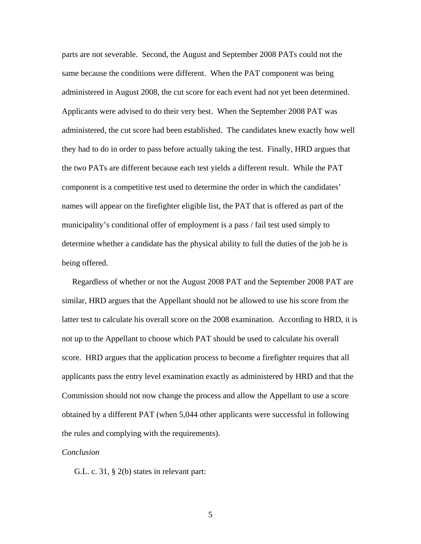parts are not severable. Second, the August and September 2008 PATs could not the same because the conditions were different. When the PAT component was being administered in August 2008, the cut score for each event had not yet been determined. Applicants were advised to do their very best. When the September 2008 PAT was administered, the cut score had been established. The candidates knew exactly how well they had to do in order to pass before actually taking the test. Finally, HRD argues that the two PATs are different because each test yields a different result. While the PAT component is a competitive test used to determine the order in which the candidates' names will appear on the firefighter eligible list, the PAT that is offered as part of the municipality's conditional offer of employment is a pass / fail test used simply to determine whether a candidate has the physical ability to full the duties of the job he is being offered.

 Regardless of whether or not the August 2008 PAT and the September 2008 PAT are similar, HRD argues that the Appellant should not be allowed to use his score from the latter test to calculate his overall score on the 2008 examination. According to HRD, it is not up to the Appellant to choose which PAT should be used to calculate his overall score. HRD argues that the application process to become a firefighter requires that all applicants pass the entry level examination exactly as administered by HRD and that the Commission should not now change the process and allow the Appellant to use a score obtained by a different PAT (when 5,044 other applicants were successful in following the rules and complying with the requirements).

## *Conclusion*

G.L. c. 31, § 2(b) states in relevant part: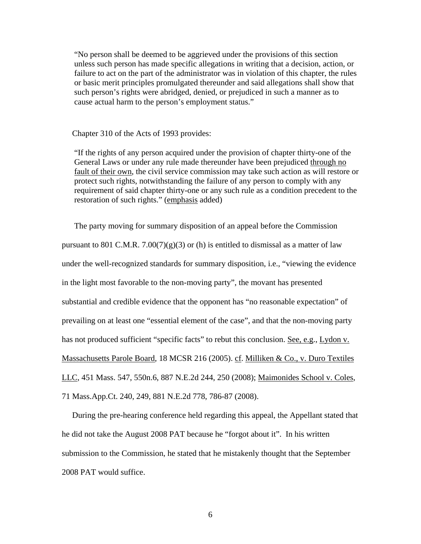"No person shall be deemed to be aggrieved under the provisions of this section unless such person has made specific allegations in writing that a decision, action, or failure to act on the part of the administrator was in violation of this chapter, the rules or basic merit principles promulgated thereunder and said allegations shall show that such person's rights were abridged, denied, or prejudiced in such a manner as to cause actual harm to the person's employment status."

Chapter 310 of the Acts of 1993 provides:

"If the rights of any person acquired under the provision of chapter thirty-one of the General Laws or under any rule made thereunder have been prejudiced through no fault of their own, the civil service commission may take such action as will restore or protect such rights, notwithstanding the failure of any person to comply with any requirement of said chapter thirty-one or any such rule as a condition precedent to the restoration of such rights." (emphasis added)

The party moving for summary disposition of an appeal before the Commission pursuant to 801 C.M.R. 7.00(7)(g)(3) or (h) is entitled to dismissal as a matter of law under the well-recognized standards for summary disposition, i.e., "viewing the evidence in the light most favorable to the non-moving party", the movant has presented substantial and credible evidence that the opponent has "no reasonable expectation" of prevailing on at least one "essential element of the case", and that the non-moving party has not produced sufficient "specific facts" to rebut this conclusion. See, e.g., Lydon v. Massachusetts Parole Board, 18 MCSR 216 (2005). cf. Milliken & Co., v. Duro Textiles LLC, 451 Mass. 547, 550n.6, 887 N.E.2d 244, 250 (2008); Maimonides School v. Coles, 71 Mass.App.Ct. 240, 249, 881 N.E.2d 778, 786-87 (2008).

 During the pre-hearing conference held regarding this appeal, the Appellant stated that he did not take the August 2008 PAT because he "forgot about it". In his written submission to the Commission, he stated that he mistakenly thought that the September 2008 PAT would suffice.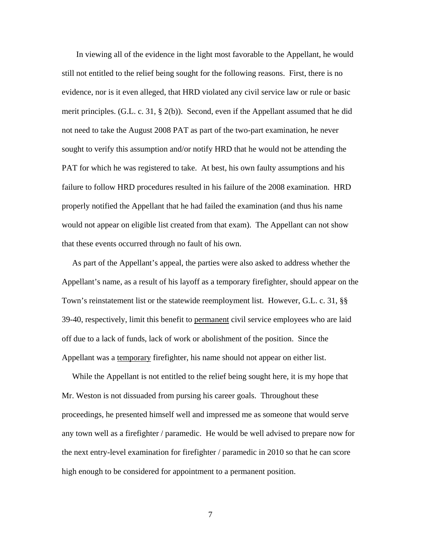In viewing all of the evidence in the light most favorable to the Appellant, he would still not entitled to the relief being sought for the following reasons. First, there is no evidence, nor is it even alleged, that HRD violated any civil service law or rule or basic merit principles. (G.L. c. 31, § 2(b)). Second, even if the Appellant assumed that he did not need to take the August 2008 PAT as part of the two-part examination, he never sought to verify this assumption and/or notify HRD that he would not be attending the PAT for which he was registered to take. At best, his own faulty assumptions and his failure to follow HRD procedures resulted in his failure of the 2008 examination. HRD properly notified the Appellant that he had failed the examination (and thus his name would not appear on eligible list created from that exam). The Appellant can not show that these events occurred through no fault of his own.

 As part of the Appellant's appeal, the parties were also asked to address whether the Appellant's name, as a result of his layoff as a temporary firefighter, should appear on the Town's reinstatement list or the statewide reemployment list. However, G.L. c. 31, §§ 39-40, respectively, limit this benefit to permanent civil service employees who are laid off due to a lack of funds, lack of work or abolishment of the position. Since the Appellant was a temporary firefighter, his name should not appear on either list.

 While the Appellant is not entitled to the relief being sought here, it is my hope that Mr. Weston is not dissuaded from pursing his career goals. Throughout these proceedings, he presented himself well and impressed me as someone that would serve any town well as a firefighter / paramedic. He would be well advised to prepare now for the next entry-level examination for firefighter / paramedic in 2010 so that he can score high enough to be considered for appointment to a permanent position.